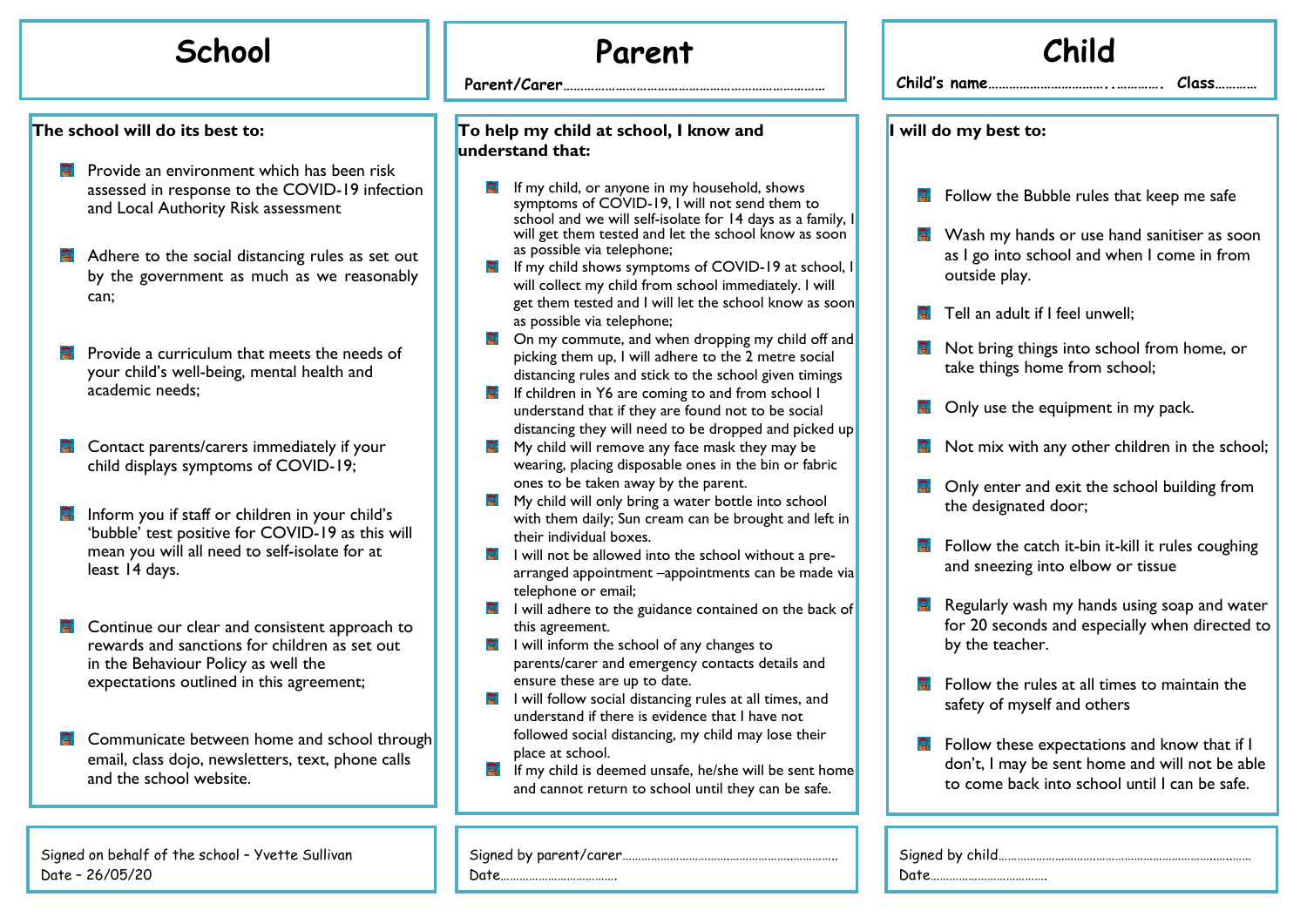#### **The school will do its best to:**

- **P** Provide an environment which has been risk assessed in response to the COVID-19 infection and Local Authority Risk assessment
- **A** Adhere to the social distancing rules as set out by the government as much as we reasonably can;
- Provide a curriculum that meets the needs of your child's well-being, mental health and academic needs;
- Contact parents/carers immediately if your child displays symptoms of COVID-19;
- Inform you if staff or children in your child's 'bubble' test positive for COVID-19 as this will mean you will all need to self-isolate for at least 14 days.
- ब Continue our clear and consistent approach to rewards and sanctions for children as set out in the Behaviour Policy as well the expectations outlined in this agreement;
- **E** Communicate between home and school through email, class dojo, newsletters, text, phone calls and the school website.

Signed on behalf of the school – Yvette Sullivan Date – 26/05/20

## **School Parent**

**Parent/Carer…………………………………………………………………**

#### **To help my child at school, I know and understand that:**

- If my child, or anyone in my household, shows symptoms of COVID-19, I will not send them to school and we will self-isolate for 14 days as a fami will get them tested and let the school know as so as possible via telephone;
- $\blacksquare$  If my child shows symptoms of COVID-19 at scho will collect my child from school immediately. I will get them tested and I will let the school know as so as possible via telephone;
- $\blacksquare$  On my commute, and when dropping my child off picking them up, I will adhere to the 2 metre social distancing rules and stick to the school given timin
- $\blacksquare$  If children in Y6 are coming to and from school I understand that if they are found not to be social distancing they will need to be dropped and picked
- $\blacksquare$  My child will remove any face mask they may be wearing, placing disposable ones in the bin or fabri ones to be taken away by the parent.
- **H** My child will only bring a water bottle into school with them daily; Sun cream can be brought and left their individual boxes.
- $\blacksquare$  I will not be allowed into the school without a prearranged appointment –appointments can be made telephone or email;
- $\blacksquare$  I will adhere to the guidance contained on the back this agreement.
- $\blacksquare$  I will inform the school of any changes to parents/carer and emergency contacts details and ensure these are up to date.
- $\blacksquare$  I will follow social distancing rules at all times, and understand if there is evidence that I have not followed social distancing, my child may lose their place at school.
- **E** If my child is deemed unsafe, he/she will be sent home and cannot return to school until they can be safe.

|--|--|

Date………

|                                                               | Child                                                                                                                                                                                                                                                                                                                                                                                                  |
|---------------------------------------------------------------|--------------------------------------------------------------------------------------------------------------------------------------------------------------------------------------------------------------------------------------------------------------------------------------------------------------------------------------------------------------------------------------------------------|
|                                                               | $Child's$ name                                                                                                                                                                                                                                                                                                                                                                                         |
|                                                               | I will do my best to:                                                                                                                                                                                                                                                                                                                                                                                  |
| ily, I<br>oon<br>ool, I<br>ill<br>soon<br>f and <br>al<br>ngs | 高.<br>Follow the Bubble rules that keep me safe<br>Wash my hands or use hand sanitiser as soon<br>Et i<br>as I go into school and when I come in from<br>outside play.<br>E.<br>Tell an adult if I feel unwell;<br>Not bring things into school from home, or<br>다<br>take things home from school;                                                                                                    |
| $d$ up<br>'nс<br>ft in<br>e-<br>e vial<br>k of                | Only use the equipment in my pack.<br>다<br>Not mix with any other children in the school;<br>다<br>a.<br>Only enter and exit the school building from<br>the designated door;<br>q.<br>Follow the catch it-bin it-kill it rules coughing<br>and sneezing into elbow or tissue<br>哥<br>Regularly wash my hands using soap and water<br>for 20 seconds and especially when directed to<br>by the teacher. |
| I<br>ome<br>ì.                                                | E.<br>Follow the rules at all times to maintain the<br>safety of myself and others<br>Follow these expectations and know that if I<br>耳.<br>don't, I may be sent home and will not be able<br>to come back into school until I can be safe.                                                                                                                                                            |